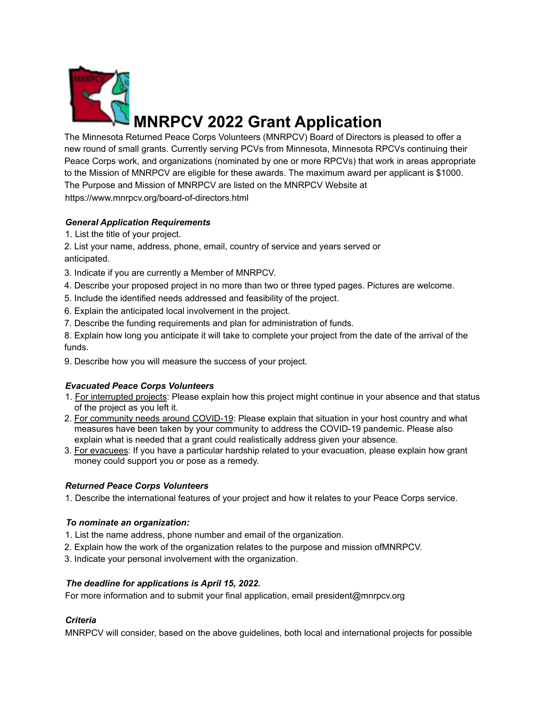

# **MNRPCV 2022 Grant Application**

The Minnesota Returned Peace Corps Volunteers (MNRPCV) Board of Directors is pleased to offer a new round of small grants. Currently serving PCVs from Minnesota, Minnesota RPCVs continuing their Peace Corps work, and organizations (nominated by one or more RPCVs) that work in areas appropriate to the Mission of MNRPCV are eligible for these awards. The maximum award per applicant is \$1000. The Purpose and Mission of MNRPCV are listed on the MNRPCV Website at https://www.mnrpcv.org/board-of-directors.html

### *General Application Requirements*

1. List the title of your project.

2. List your name, address, phone, email, country of service and years served or anticipated.

- 3. Indicate if you are currently a Member of MNRPCV.
- 4. Describe your proposed project in no more than two or three typed pages. Pictures are welcome.
- 5. Include the identified needs addressed and feasibility of the project.
- 6. Explain the anticipated local involvement in the project.
- 7. Describe the funding requirements and plan for administration of funds.

8. Explain how long you anticipate it will take to complete your project from the date of the arrival of the funds.

9. Describe how you will measure the success of your project.

#### *Evacuated Peace Corps Volunteers*

- 1. For interrupted projects: Please explain how this project might continue in your absence and that status of the project as you left it.
- 2. For community needs around COVID-19: Please explain that situation in your host country and what measures have been taken by your community to address the COVID-19 pandemic. Please also explain what is needed that a grant could realistically address given your absence.
- 3. For evacuees: If you have a particular hardship related to your evacuation, please explain how grant money could support you or pose as a remedy.

#### *Returned Peace Corps Volunteers*

1. Describe the international features of your project and how it relates to your Peace Corps service.

#### *To nominate an organization:*

- 1. List the name address, phone number and email of the organization.
- 2. Explain how the work of the organization relates to the purpose and mission ofMNRPCV.
- 3. Indicate your personal involvement with the organization.

#### *The deadline for applications is April 15, 2022.*

For more information and to submit your final application, email president@mnrpcv.org

#### *Criteria*

MNRPCV will consider, based on the above guidelines, both local and international projects for possible